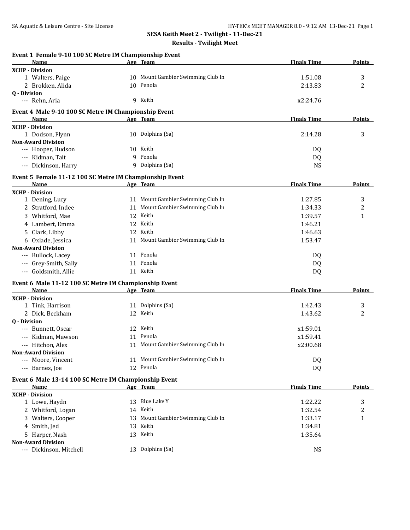#### **Results - Twilight Meet**

| Age Team<br>Name<br><b>XCHP - Division</b><br>10 Mount Gambier Swimming Club In<br>3<br>1 Walters, Paige<br>1:51.08<br>2<br>2 Brokken, Alida<br>10 Penola<br>2:13.83<br><b>Q</b> - Division<br>9 Keith<br>x2:24.76<br>--- Rehn, Aria<br>Event 4 Male 9-10 100 SC Metre IM Championship Event<br>Age Team<br><b>Finals Time</b><br><b>Points</b><br><b>Name</b><br><b>XCHP - Division</b><br>10 Dolphins (Sa)<br>3<br>1 Dodson, Flynn<br>2:14.28<br><b>Non-Award Division</b><br>--- Hooper, Hudson<br>10 Keith<br>DQ<br>9 Penola<br>--- Kidman, Tait<br>DQ<br>--- Dickinson, Harry<br>9 Dolphins (Sa)<br><b>NS</b><br>Event 5 Female 11-12 100 SC Metre IM Championship Event<br>Name<br>Age Team<br><b>Finals Time</b><br>Points<br>11 Mount Gambier Swimming Club In<br>1 Dening, Lucy<br>1:27.85<br>3<br>11 Mount Gambier Swimming Club In<br>2 Stratford, Indee<br>1:34.33<br>2<br>3 Whitford, Mae<br>12 Keith<br>1:39.57<br>1<br>4 Lambert, Emma<br>12 Keith<br>1:46.21<br>5 Clark, Libby<br>12 Keith<br>1:46.63<br>6 Oxlade, Jessica<br>11 Mount Gambier Swimming Club In<br>1:53.47<br><b>Non-Award Division</b><br>11 Penola<br>--- Bullock, Lacey<br>DQ<br>--- Grey-Smith, Sally<br>11 Penola<br>DQ<br>--- Goldsmith, Allie<br>11 Keith<br>DQ<br>Event 6 Male 11-12 100 SC Metre IM Championship Event<br><b>Finals Time</b><br>Age Team<br><b>Points</b><br>Name<br>11 Dolphins (Sa)<br>1:42.43<br>3<br>1 Tink, Harrison<br>12 Keith<br>2<br>2 Dick, Beckham<br>1:43.62<br><b>0</b> - Division<br>12 Keith<br>--- Bunnett, Oscar<br>x1:59.01<br>11 Penola<br>x1:59.41<br>Kidman, Mawson<br>11 Mount Gambier Swimming Club In<br>--- Hitchon, Alex<br>x2:00.68<br><b>Non-Award Division</b><br>11 Mount Gambier Swimming Club In<br>--- Moore, Vincent<br>DQ<br>12 Penola<br>--- Barnes, Joe<br>DQ<br>Event 6 Male 13-14 100 SC Metre IM Championship Event<br><b>Finals Time</b><br><b>Points</b><br>Age Team<br>Name<br>13 Blue Lake Y<br>1:22.22<br>3<br>1 Lowe, Haydn<br>14 Keith<br>2 Whitford, Logan<br>1:32.54<br>2<br>3 Walters, Cooper<br>1:33.17<br>13 Mount Gambier Swimming Club In<br>1<br>4 Smith, Jed<br>13 Keith<br>1:34.81<br>5 Harper, Nash<br>13 Keith<br>1:35.64<br>13 Dolphins (Sa)<br>--- Dickinson, Mitchell<br><b>NS</b> | Event 1 Female 9-10 100 SC Metre IM Championship Event |  |                    |        |
|-----------------------------------------------------------------------------------------------------------------------------------------------------------------------------------------------------------------------------------------------------------------------------------------------------------------------------------------------------------------------------------------------------------------------------------------------------------------------------------------------------------------------------------------------------------------------------------------------------------------------------------------------------------------------------------------------------------------------------------------------------------------------------------------------------------------------------------------------------------------------------------------------------------------------------------------------------------------------------------------------------------------------------------------------------------------------------------------------------------------------------------------------------------------------------------------------------------------------------------------------------------------------------------------------------------------------------------------------------------------------------------------------------------------------------------------------------------------------------------------------------------------------------------------------------------------------------------------------------------------------------------------------------------------------------------------------------------------------------------------------------------------------------------------------------------------------------------------------------------------------------------------------------------------------------------------------------------------------------------------------------------------------------------------------------------------------------------------------------------------------------------------------------------------------------------------------------------------------------------------------------------|--------------------------------------------------------|--|--------------------|--------|
|                                                                                                                                                                                                                                                                                                                                                                                                                                                                                                                                                                                                                                                                                                                                                                                                                                                                                                                                                                                                                                                                                                                                                                                                                                                                                                                                                                                                                                                                                                                                                                                                                                                                                                                                                                                                                                                                                                                                                                                                                                                                                                                                                                                                                                                           |                                                        |  | <b>Finals Time</b> | Points |
|                                                                                                                                                                                                                                                                                                                                                                                                                                                                                                                                                                                                                                                                                                                                                                                                                                                                                                                                                                                                                                                                                                                                                                                                                                                                                                                                                                                                                                                                                                                                                                                                                                                                                                                                                                                                                                                                                                                                                                                                                                                                                                                                                                                                                                                           |                                                        |  |                    |        |
|                                                                                                                                                                                                                                                                                                                                                                                                                                                                                                                                                                                                                                                                                                                                                                                                                                                                                                                                                                                                                                                                                                                                                                                                                                                                                                                                                                                                                                                                                                                                                                                                                                                                                                                                                                                                                                                                                                                                                                                                                                                                                                                                                                                                                                                           |                                                        |  |                    |        |
|                                                                                                                                                                                                                                                                                                                                                                                                                                                                                                                                                                                                                                                                                                                                                                                                                                                                                                                                                                                                                                                                                                                                                                                                                                                                                                                                                                                                                                                                                                                                                                                                                                                                                                                                                                                                                                                                                                                                                                                                                                                                                                                                                                                                                                                           |                                                        |  |                    |        |
|                                                                                                                                                                                                                                                                                                                                                                                                                                                                                                                                                                                                                                                                                                                                                                                                                                                                                                                                                                                                                                                                                                                                                                                                                                                                                                                                                                                                                                                                                                                                                                                                                                                                                                                                                                                                                                                                                                                                                                                                                                                                                                                                                                                                                                                           |                                                        |  |                    |        |
|                                                                                                                                                                                                                                                                                                                                                                                                                                                                                                                                                                                                                                                                                                                                                                                                                                                                                                                                                                                                                                                                                                                                                                                                                                                                                                                                                                                                                                                                                                                                                                                                                                                                                                                                                                                                                                                                                                                                                                                                                                                                                                                                                                                                                                                           |                                                        |  |                    |        |
|                                                                                                                                                                                                                                                                                                                                                                                                                                                                                                                                                                                                                                                                                                                                                                                                                                                                                                                                                                                                                                                                                                                                                                                                                                                                                                                                                                                                                                                                                                                                                                                                                                                                                                                                                                                                                                                                                                                                                                                                                                                                                                                                                                                                                                                           |                                                        |  |                    |        |
|                                                                                                                                                                                                                                                                                                                                                                                                                                                                                                                                                                                                                                                                                                                                                                                                                                                                                                                                                                                                                                                                                                                                                                                                                                                                                                                                                                                                                                                                                                                                                                                                                                                                                                                                                                                                                                                                                                                                                                                                                                                                                                                                                                                                                                                           |                                                        |  |                    |        |
|                                                                                                                                                                                                                                                                                                                                                                                                                                                                                                                                                                                                                                                                                                                                                                                                                                                                                                                                                                                                                                                                                                                                                                                                                                                                                                                                                                                                                                                                                                                                                                                                                                                                                                                                                                                                                                                                                                                                                                                                                                                                                                                                                                                                                                                           |                                                        |  |                    |        |
|                                                                                                                                                                                                                                                                                                                                                                                                                                                                                                                                                                                                                                                                                                                                                                                                                                                                                                                                                                                                                                                                                                                                                                                                                                                                                                                                                                                                                                                                                                                                                                                                                                                                                                                                                                                                                                                                                                                                                                                                                                                                                                                                                                                                                                                           |                                                        |  |                    |        |
|                                                                                                                                                                                                                                                                                                                                                                                                                                                                                                                                                                                                                                                                                                                                                                                                                                                                                                                                                                                                                                                                                                                                                                                                                                                                                                                                                                                                                                                                                                                                                                                                                                                                                                                                                                                                                                                                                                                                                                                                                                                                                                                                                                                                                                                           |                                                        |  |                    |        |
|                                                                                                                                                                                                                                                                                                                                                                                                                                                                                                                                                                                                                                                                                                                                                                                                                                                                                                                                                                                                                                                                                                                                                                                                                                                                                                                                                                                                                                                                                                                                                                                                                                                                                                                                                                                                                                                                                                                                                                                                                                                                                                                                                                                                                                                           |                                                        |  |                    |        |
|                                                                                                                                                                                                                                                                                                                                                                                                                                                                                                                                                                                                                                                                                                                                                                                                                                                                                                                                                                                                                                                                                                                                                                                                                                                                                                                                                                                                                                                                                                                                                                                                                                                                                                                                                                                                                                                                                                                                                                                                                                                                                                                                                                                                                                                           |                                                        |  |                    |        |
|                                                                                                                                                                                                                                                                                                                                                                                                                                                                                                                                                                                                                                                                                                                                                                                                                                                                                                                                                                                                                                                                                                                                                                                                                                                                                                                                                                                                                                                                                                                                                                                                                                                                                                                                                                                                                                                                                                                                                                                                                                                                                                                                                                                                                                                           |                                                        |  |                    |        |
|                                                                                                                                                                                                                                                                                                                                                                                                                                                                                                                                                                                                                                                                                                                                                                                                                                                                                                                                                                                                                                                                                                                                                                                                                                                                                                                                                                                                                                                                                                                                                                                                                                                                                                                                                                                                                                                                                                                                                                                                                                                                                                                                                                                                                                                           |                                                        |  |                    |        |
|                                                                                                                                                                                                                                                                                                                                                                                                                                                                                                                                                                                                                                                                                                                                                                                                                                                                                                                                                                                                                                                                                                                                                                                                                                                                                                                                                                                                                                                                                                                                                                                                                                                                                                                                                                                                                                                                                                                                                                                                                                                                                                                                                                                                                                                           |                                                        |  |                    |        |
|                                                                                                                                                                                                                                                                                                                                                                                                                                                                                                                                                                                                                                                                                                                                                                                                                                                                                                                                                                                                                                                                                                                                                                                                                                                                                                                                                                                                                                                                                                                                                                                                                                                                                                                                                                                                                                                                                                                                                                                                                                                                                                                                                                                                                                                           | <b>XCHP - Division</b>                                 |  |                    |        |
|                                                                                                                                                                                                                                                                                                                                                                                                                                                                                                                                                                                                                                                                                                                                                                                                                                                                                                                                                                                                                                                                                                                                                                                                                                                                                                                                                                                                                                                                                                                                                                                                                                                                                                                                                                                                                                                                                                                                                                                                                                                                                                                                                                                                                                                           |                                                        |  |                    |        |
|                                                                                                                                                                                                                                                                                                                                                                                                                                                                                                                                                                                                                                                                                                                                                                                                                                                                                                                                                                                                                                                                                                                                                                                                                                                                                                                                                                                                                                                                                                                                                                                                                                                                                                                                                                                                                                                                                                                                                                                                                                                                                                                                                                                                                                                           |                                                        |  |                    |        |
|                                                                                                                                                                                                                                                                                                                                                                                                                                                                                                                                                                                                                                                                                                                                                                                                                                                                                                                                                                                                                                                                                                                                                                                                                                                                                                                                                                                                                                                                                                                                                                                                                                                                                                                                                                                                                                                                                                                                                                                                                                                                                                                                                                                                                                                           |                                                        |  |                    |        |
|                                                                                                                                                                                                                                                                                                                                                                                                                                                                                                                                                                                                                                                                                                                                                                                                                                                                                                                                                                                                                                                                                                                                                                                                                                                                                                                                                                                                                                                                                                                                                                                                                                                                                                                                                                                                                                                                                                                                                                                                                                                                                                                                                                                                                                                           |                                                        |  |                    |        |
|                                                                                                                                                                                                                                                                                                                                                                                                                                                                                                                                                                                                                                                                                                                                                                                                                                                                                                                                                                                                                                                                                                                                                                                                                                                                                                                                                                                                                                                                                                                                                                                                                                                                                                                                                                                                                                                                                                                                                                                                                                                                                                                                                                                                                                                           |                                                        |  |                    |        |
|                                                                                                                                                                                                                                                                                                                                                                                                                                                                                                                                                                                                                                                                                                                                                                                                                                                                                                                                                                                                                                                                                                                                                                                                                                                                                                                                                                                                                                                                                                                                                                                                                                                                                                                                                                                                                                                                                                                                                                                                                                                                                                                                                                                                                                                           |                                                        |  |                    |        |
|                                                                                                                                                                                                                                                                                                                                                                                                                                                                                                                                                                                                                                                                                                                                                                                                                                                                                                                                                                                                                                                                                                                                                                                                                                                                                                                                                                                                                                                                                                                                                                                                                                                                                                                                                                                                                                                                                                                                                                                                                                                                                                                                                                                                                                                           |                                                        |  |                    |        |
|                                                                                                                                                                                                                                                                                                                                                                                                                                                                                                                                                                                                                                                                                                                                                                                                                                                                                                                                                                                                                                                                                                                                                                                                                                                                                                                                                                                                                                                                                                                                                                                                                                                                                                                                                                                                                                                                                                                                                                                                                                                                                                                                                                                                                                                           |                                                        |  |                    |        |
|                                                                                                                                                                                                                                                                                                                                                                                                                                                                                                                                                                                                                                                                                                                                                                                                                                                                                                                                                                                                                                                                                                                                                                                                                                                                                                                                                                                                                                                                                                                                                                                                                                                                                                                                                                                                                                                                                                                                                                                                                                                                                                                                                                                                                                                           |                                                        |  |                    |        |
|                                                                                                                                                                                                                                                                                                                                                                                                                                                                                                                                                                                                                                                                                                                                                                                                                                                                                                                                                                                                                                                                                                                                                                                                                                                                                                                                                                                                                                                                                                                                                                                                                                                                                                                                                                                                                                                                                                                                                                                                                                                                                                                                                                                                                                                           |                                                        |  |                    |        |
|                                                                                                                                                                                                                                                                                                                                                                                                                                                                                                                                                                                                                                                                                                                                                                                                                                                                                                                                                                                                                                                                                                                                                                                                                                                                                                                                                                                                                                                                                                                                                                                                                                                                                                                                                                                                                                                                                                                                                                                                                                                                                                                                                                                                                                                           |                                                        |  |                    |        |
|                                                                                                                                                                                                                                                                                                                                                                                                                                                                                                                                                                                                                                                                                                                                                                                                                                                                                                                                                                                                                                                                                                                                                                                                                                                                                                                                                                                                                                                                                                                                                                                                                                                                                                                                                                                                                                                                                                                                                                                                                                                                                                                                                                                                                                                           |                                                        |  |                    |        |
|                                                                                                                                                                                                                                                                                                                                                                                                                                                                                                                                                                                                                                                                                                                                                                                                                                                                                                                                                                                                                                                                                                                                                                                                                                                                                                                                                                                                                                                                                                                                                                                                                                                                                                                                                                                                                                                                                                                                                                                                                                                                                                                                                                                                                                                           | <b>XCHP - Division</b>                                 |  |                    |        |
|                                                                                                                                                                                                                                                                                                                                                                                                                                                                                                                                                                                                                                                                                                                                                                                                                                                                                                                                                                                                                                                                                                                                                                                                                                                                                                                                                                                                                                                                                                                                                                                                                                                                                                                                                                                                                                                                                                                                                                                                                                                                                                                                                                                                                                                           |                                                        |  |                    |        |
|                                                                                                                                                                                                                                                                                                                                                                                                                                                                                                                                                                                                                                                                                                                                                                                                                                                                                                                                                                                                                                                                                                                                                                                                                                                                                                                                                                                                                                                                                                                                                                                                                                                                                                                                                                                                                                                                                                                                                                                                                                                                                                                                                                                                                                                           |                                                        |  |                    |        |
|                                                                                                                                                                                                                                                                                                                                                                                                                                                                                                                                                                                                                                                                                                                                                                                                                                                                                                                                                                                                                                                                                                                                                                                                                                                                                                                                                                                                                                                                                                                                                                                                                                                                                                                                                                                                                                                                                                                                                                                                                                                                                                                                                                                                                                                           |                                                        |  |                    |        |
|                                                                                                                                                                                                                                                                                                                                                                                                                                                                                                                                                                                                                                                                                                                                                                                                                                                                                                                                                                                                                                                                                                                                                                                                                                                                                                                                                                                                                                                                                                                                                                                                                                                                                                                                                                                                                                                                                                                                                                                                                                                                                                                                                                                                                                                           |                                                        |  |                    |        |
|                                                                                                                                                                                                                                                                                                                                                                                                                                                                                                                                                                                                                                                                                                                                                                                                                                                                                                                                                                                                                                                                                                                                                                                                                                                                                                                                                                                                                                                                                                                                                                                                                                                                                                                                                                                                                                                                                                                                                                                                                                                                                                                                                                                                                                                           |                                                        |  |                    |        |
|                                                                                                                                                                                                                                                                                                                                                                                                                                                                                                                                                                                                                                                                                                                                                                                                                                                                                                                                                                                                                                                                                                                                                                                                                                                                                                                                                                                                                                                                                                                                                                                                                                                                                                                                                                                                                                                                                                                                                                                                                                                                                                                                                                                                                                                           |                                                        |  |                    |        |
|                                                                                                                                                                                                                                                                                                                                                                                                                                                                                                                                                                                                                                                                                                                                                                                                                                                                                                                                                                                                                                                                                                                                                                                                                                                                                                                                                                                                                                                                                                                                                                                                                                                                                                                                                                                                                                                                                                                                                                                                                                                                                                                                                                                                                                                           |                                                        |  |                    |        |
|                                                                                                                                                                                                                                                                                                                                                                                                                                                                                                                                                                                                                                                                                                                                                                                                                                                                                                                                                                                                                                                                                                                                                                                                                                                                                                                                                                                                                                                                                                                                                                                                                                                                                                                                                                                                                                                                                                                                                                                                                                                                                                                                                                                                                                                           |                                                        |  |                    |        |
|                                                                                                                                                                                                                                                                                                                                                                                                                                                                                                                                                                                                                                                                                                                                                                                                                                                                                                                                                                                                                                                                                                                                                                                                                                                                                                                                                                                                                                                                                                                                                                                                                                                                                                                                                                                                                                                                                                                                                                                                                                                                                                                                                                                                                                                           |                                                        |  |                    |        |
|                                                                                                                                                                                                                                                                                                                                                                                                                                                                                                                                                                                                                                                                                                                                                                                                                                                                                                                                                                                                                                                                                                                                                                                                                                                                                                                                                                                                                                                                                                                                                                                                                                                                                                                                                                                                                                                                                                                                                                                                                                                                                                                                                                                                                                                           |                                                        |  |                    |        |
|                                                                                                                                                                                                                                                                                                                                                                                                                                                                                                                                                                                                                                                                                                                                                                                                                                                                                                                                                                                                                                                                                                                                                                                                                                                                                                                                                                                                                                                                                                                                                                                                                                                                                                                                                                                                                                                                                                                                                                                                                                                                                                                                                                                                                                                           |                                                        |  |                    |        |
|                                                                                                                                                                                                                                                                                                                                                                                                                                                                                                                                                                                                                                                                                                                                                                                                                                                                                                                                                                                                                                                                                                                                                                                                                                                                                                                                                                                                                                                                                                                                                                                                                                                                                                                                                                                                                                                                                                                                                                                                                                                                                                                                                                                                                                                           | <b>XCHP - Division</b>                                 |  |                    |        |
|                                                                                                                                                                                                                                                                                                                                                                                                                                                                                                                                                                                                                                                                                                                                                                                                                                                                                                                                                                                                                                                                                                                                                                                                                                                                                                                                                                                                                                                                                                                                                                                                                                                                                                                                                                                                                                                                                                                                                                                                                                                                                                                                                                                                                                                           |                                                        |  |                    |        |
|                                                                                                                                                                                                                                                                                                                                                                                                                                                                                                                                                                                                                                                                                                                                                                                                                                                                                                                                                                                                                                                                                                                                                                                                                                                                                                                                                                                                                                                                                                                                                                                                                                                                                                                                                                                                                                                                                                                                                                                                                                                                                                                                                                                                                                                           |                                                        |  |                    |        |
|                                                                                                                                                                                                                                                                                                                                                                                                                                                                                                                                                                                                                                                                                                                                                                                                                                                                                                                                                                                                                                                                                                                                                                                                                                                                                                                                                                                                                                                                                                                                                                                                                                                                                                                                                                                                                                                                                                                                                                                                                                                                                                                                                                                                                                                           |                                                        |  |                    |        |
|                                                                                                                                                                                                                                                                                                                                                                                                                                                                                                                                                                                                                                                                                                                                                                                                                                                                                                                                                                                                                                                                                                                                                                                                                                                                                                                                                                                                                                                                                                                                                                                                                                                                                                                                                                                                                                                                                                                                                                                                                                                                                                                                                                                                                                                           |                                                        |  |                    |        |
|                                                                                                                                                                                                                                                                                                                                                                                                                                                                                                                                                                                                                                                                                                                                                                                                                                                                                                                                                                                                                                                                                                                                                                                                                                                                                                                                                                                                                                                                                                                                                                                                                                                                                                                                                                                                                                                                                                                                                                                                                                                                                                                                                                                                                                                           |                                                        |  |                    |        |
|                                                                                                                                                                                                                                                                                                                                                                                                                                                                                                                                                                                                                                                                                                                                                                                                                                                                                                                                                                                                                                                                                                                                                                                                                                                                                                                                                                                                                                                                                                                                                                                                                                                                                                                                                                                                                                                                                                                                                                                                                                                                                                                                                                                                                                                           | <b>Non-Award Division</b>                              |  |                    |        |
|                                                                                                                                                                                                                                                                                                                                                                                                                                                                                                                                                                                                                                                                                                                                                                                                                                                                                                                                                                                                                                                                                                                                                                                                                                                                                                                                                                                                                                                                                                                                                                                                                                                                                                                                                                                                                                                                                                                                                                                                                                                                                                                                                                                                                                                           |                                                        |  |                    |        |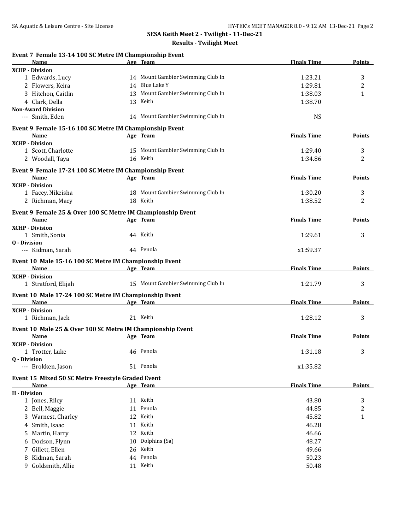#### **Results - Twilight Meet**

| Event 7 Female 13-14 100 SC Metre IM Championship Event |                                                                         |                    |               |
|---------------------------------------------------------|-------------------------------------------------------------------------|--------------------|---------------|
| Name                                                    | Age Team                                                                | <b>Finals Time</b> | <b>Points</b> |
| <b>XCHP - Division</b>                                  |                                                                         |                    |               |
| 1 Edwards, Lucy                                         | 14 Mount Gambier Swimming Club In                                       | 1:23.21            | 3             |
| 2 Flowers, Keira                                        | 14 Blue Lake Y                                                          | 1:29.81            | 2             |
| 3 Hitchon, Caitlin                                      | 13 Mount Gambier Swimming Club In                                       | 1:38.03            | 1             |
| 4 Clark, Della                                          | 13 Keith                                                                | 1:38.70            |               |
| <b>Non-Award Division</b>                               |                                                                         |                    |               |
| --- Smith, Eden                                         | 14 Mount Gambier Swimming Club In                                       | <b>NS</b>          |               |
| Event 9 Female 15-16 100 SC Metre IM Championship Event |                                                                         |                    |               |
| Name                                                    | Age Team                                                                | <b>Finals Time</b> | <b>Points</b> |
| <b>XCHP - Division</b>                                  |                                                                         |                    |               |
| 1 Scott, Charlotte                                      | 15 Mount Gambier Swimming Club In                                       | 1:29.40            | 3             |
| 2 Woodall, Taya                                         | 16 Keith                                                                | 1:34.86            | 2             |
| Event 9 Female 17-24 100 SC Metre IM Championship Event |                                                                         |                    |               |
| Name                                                    | Age Team                                                                | <b>Finals Time</b> | <b>Points</b> |
| <b>XCHP - Division</b>                                  |                                                                         |                    |               |
| 1 Facey, Nikeisha                                       | 18 Mount Gambier Swimming Club In                                       | 1:30.20            | 3             |
| 2 Richman, Macy                                         | 18 Keith                                                                | 1:38.52            | 2             |
|                                                         |                                                                         |                    |               |
| Name                                                    | Event 9 Female 25 & Over 100 SC Metre IM Championship Event<br>Age Team | <b>Finals Time</b> | <b>Points</b> |
| <b>XCHP - Division</b>                                  |                                                                         |                    |               |
| 1 Smith, Sonia                                          | 44 Keith                                                                | 1:29.61            | 3             |
| 0 - Division                                            |                                                                         |                    |               |
| --- Kidman, Sarah                                       | 44 Penola                                                               | x1:59.37           |               |
|                                                         |                                                                         |                    |               |
| Event 10 Male 15-16 100 SC Metre IM Championship Event  |                                                                         |                    |               |
| Name<br><b>XCHP</b> - Division                          | Age Team                                                                | <b>Finals Time</b> | Points        |
| 1 Stratford, Elijah                                     | 15 Mount Gambier Swimming Club In                                       | 1:21.79            | 3             |
|                                                         |                                                                         |                    |               |
| Event 10 Male 17-24 100 SC Metre IM Championship Event  |                                                                         |                    |               |
| Name                                                    | Age Team                                                                | <b>Finals Time</b> | <b>Points</b> |
| <b>XCHP - Division</b>                                  |                                                                         |                    |               |
| 1 Richman, Jack                                         | 21 Keith                                                                | 1:28.12            | 3             |
|                                                         | Event 10 Male 25 & Over 100 SC Metre IM Championship Event              |                    |               |
| Name                                                    | Age Team                                                                | <b>Finals Time</b> | <b>Points</b> |
| <b>XCHP - Division</b>                                  |                                                                         |                    |               |
| 1 Trotter, Luke                                         | 46 Penola                                                               | 1:31.18            | 3             |
| 0 - Division                                            |                                                                         |                    |               |
| --- Brokken, Jason                                      | 51 Penola                                                               | x1:35.82           |               |
| Event 15 Mixed 50 SC Metre Freestyle Graded Event       |                                                                         |                    |               |
| Name                                                    | Age Team                                                                | <b>Finals Time</b> | <b>Points</b> |
| <b>H</b> - Division                                     |                                                                         |                    |               |
| 1 Jones, Riley                                          | 11 Keith                                                                | 43.80              | 3             |
| 2 Bell, Maggie                                          | 11 Penola                                                               | 44.85              | 2             |
| 3 Warnest, Charley                                      | 12 Keith                                                                | 45.82              | 1             |
| 4 Smith, Isaac                                          | 11 Keith                                                                | 46.28              |               |
| 5 Martin, Harry                                         | 12 Keith                                                                | 46.66              |               |
| 6 Dodson, Flynn                                         | 10 Dolphins (Sa)                                                        | 48.27              |               |
| 7 Gillett, Ellen                                        |                                                                         |                    |               |
|                                                         | 26 Keith                                                                | 49.66              |               |
| 8 Kidman, Sarah                                         | 44 Penola                                                               | 50.23              |               |
| Goldsmith, Allie<br>9                                   | 11 Keith                                                                | 50.48              |               |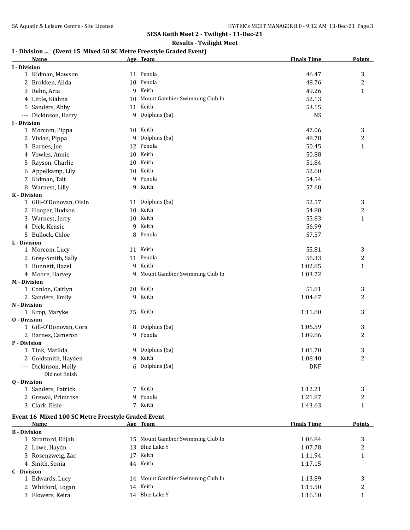# **Results - Twilight Meet**

## **I - Division ... (Event 15 Mixed 50 SC Metre Freestyle Graded Event)**

|                     | <b>Name</b>                                        |    | Age Team                       | <b>Finals Time</b> | <b>Points</b> |
|---------------------|----------------------------------------------------|----|--------------------------------|--------------------|---------------|
| <b>I</b> - Division |                                                    |    |                                |                    |               |
|                     | 1 Kidman, Mawson                                   |    | 11 Penola                      | 46.47              | 3             |
|                     | 2 Brokken, Alida                                   |    | 10 Penola                      | 48.76              | 2             |
|                     | 3 Rehn, Aria                                       |    | 9 Keith                        | 49.26              | $\mathbf{1}$  |
|                     | 4 Little, Kiahna                                   | 10 | Mount Gambier Swimming Club In | 52.13              |               |
|                     | 5 Sanders, Abby                                    |    | 11 Keith                       | 53.15              |               |
|                     | --- Dickinson, Harry                               |    | 9 Dolphins (Sa)                | <b>NS</b>          |               |
| <b>I</b> - Division |                                                    |    |                                |                    |               |
|                     | 1 Morcom, Pippa                                    |    | 10 Keith                       | 47.06              | 3             |
|                     | 2 Vivian, Pippa                                    | 9  | Dolphins (Sa)                  | 48.78              | 2             |
|                     | 3 Barnes, Joe                                      |    | 12 Penola                      | 50.45              | $\mathbf{1}$  |
|                     | 4 Vowles, Annie                                    |    | 10 Keith                       | 50.88              |               |
|                     | 5 Rayson, Charlie                                  |    | 10 Keith                       | 51.84              |               |
|                     | 6 Appelkamp, Lily                                  |    | 10 Keith                       | 52.60              |               |
|                     | 7 Kidman, Tait                                     |    | 9 Penola                       | 54.54              |               |
|                     | 8 Warnest, Lilly                                   |    | 9 Keith                        | 57.60              |               |
| <b>K</b> - Division |                                                    |    |                                |                    |               |
|                     | 1 Gill-O'Donovan, Oisin                            |    | 11 Dolphins (Sa)               | 52.57              | 3             |
|                     | 2 Hooper, Hudson                                   |    | 10 Keith                       | 54.80              | 2             |
|                     | 3 Warnest, Jerry                                   |    | 10 Keith                       | 55.83              | $\mathbf{1}$  |
|                     | 4 Dick, Kensie                                     | 9  | Keith                          | 56.99              |               |
|                     | 5 Bullock, Chloe                                   | 8  | Penola                         | 57.57              |               |
| L - Division        |                                                    |    |                                |                    |               |
|                     | 1 Morcom, Lucy                                     |    | 11 Keith                       | 55.81              | 3             |
|                     | 2 Grey-Smith, Sally                                |    | 11 Penola                      | 56.33              | 2             |
|                     | 3 Bunnett, Hazel                                   |    | 9 Keith                        | 1:02.85            | 1             |
|                     | 4 Moore, Harvey                                    | 9. | Mount Gambier Swimming Club In | 1:03.72            |               |
| <b>M</b> - Division |                                                    |    |                                |                    |               |
|                     | 1 Conlon, Caitlyn                                  |    | 20 Keith                       | 51.81              | 3             |
|                     | 2 Sanders, Emily                                   | 9  | Keith                          | 1:04.67            | 2             |
| N - Division        |                                                    |    |                                |                    |               |
|                     | 1 Krop, Maryke                                     |    | 75 Keith                       | 1:11.80            | 3             |
| <b>0</b> - Division |                                                    |    |                                |                    |               |
|                     | 1 Gill-O'Donovan, Cora                             |    | 8 Dolphins (Sa)                | 1:06.59            | 3             |
|                     | 2 Barnes, Cameron                                  |    | 9 Penola                       | 1:09.86            | 2             |
| P - Division        |                                                    |    |                                |                    |               |
|                     | 1 Tink, Matilda                                    |    | 9 Dolphins (Sa)                | 1:01.70            | 3             |
|                     | 2 Goldsmith, Hayden                                |    | 9 Keith                        | 1:08.40            | 2             |
|                     | --- Dickinson, Molly<br>Did not finish             |    | 6 Dolphins (Sa)                | <b>DNF</b>         |               |
| 0 - Division        |                                                    |    |                                |                    |               |
|                     | 1 Sanders, Patrick                                 |    | 7 Keith                        | 1:12.21            | 3             |
|                     | 2 Grewal, Primrose                                 |    | 9 Penola                       | 1:21.87            | 2             |
|                     | 3 Clark, Elsie                                     |    | 7 Keith                        | 1:43.63            | 1             |
|                     | Event 16 Mixed 100 SC Metre Freestyle Graded Event |    |                                |                    |               |

|                     | <b>Name</b>         |    | Age Team                          | <b>Finals Time</b> | <b>Points</b> |
|---------------------|---------------------|----|-----------------------------------|--------------------|---------------|
| <b>B</b> - Division |                     |    |                                   |                    |               |
|                     | 1 Stratford, Elijah |    | 15 Mount Gambier Swimming Club In | 1:06.84            | 3             |
|                     | 2 Lowe, Haydn       | 13 | Blue Lake Y                       | 1:07.78            |               |
|                     | 3 Rosenzweig, Zac   | 17 | Keith                             | 1:11.94            |               |
|                     | 4 Smith, Sonia      |    | 44 Keith                          | 1:17.15            |               |
| C - Division        |                     |    |                                   |                    |               |
|                     | 1 Edwards, Lucy     |    | 14 Mount Gambier Swimming Club In | 1:13.89            |               |
|                     | 2 Whitford, Logan   | 14 | Keith                             | 1:15.50            |               |
|                     | 3 Flowers, Keira    | 14 | Blue Lake Y                       | 1:16.10            |               |
|                     |                     |    |                                   |                    |               |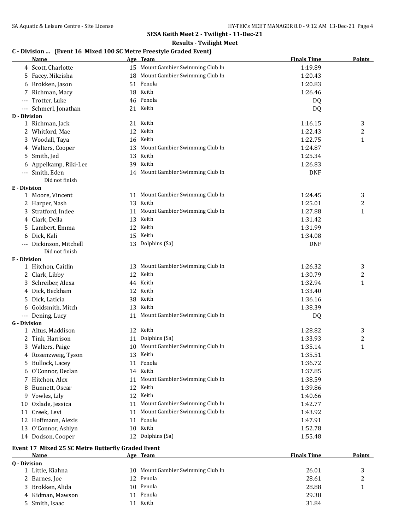#### **Results - Twilight Meet**

# **C - Division ... (Event 16 Mixed 100 SC Metre Freestyle Graded Event)**

|                     | <b>Name</b>             | Age Team                          | <b>Finals Time</b> | <b>Points</b> |
|---------------------|-------------------------|-----------------------------------|--------------------|---------------|
|                     | 4 Scott, Charlotte      | 15 Mount Gambier Swimming Club In | 1:19.89            |               |
|                     | 5 Facey, Nikeisha       | 18 Mount Gambier Swimming Club In | 1:20.43            |               |
|                     | 6 Brokken, Jason        | 51 Penola                         | 1:20.83            |               |
|                     | Richman, Macy           | 18 Keith                          | 1:26.46            |               |
|                     | Trotter, Luke           | 46 Penola                         | DQ                 |               |
|                     | Schmerl, Jonathan       | 21 Keith                          | DQ                 |               |
| <b>D</b> - Division |                         |                                   |                    |               |
|                     | 1 Richman, Jack         | 21 Keith                          | 1:16.15            | 3             |
|                     | 2 Whitford, Mae         | 12 Keith                          | 1:22.43            | 2             |
|                     | 3 Woodall, Taya         | 16 Keith                          | 1:22.75            | 1             |
|                     | 4 Walters, Cooper       | 13 Mount Gambier Swimming Club In | 1:24.87            |               |
|                     | 5 Smith, Jed            | 13 Keith                          | 1:25.34            |               |
|                     | 6 Appelkamp, Riki-Lee   | 39 Keith                          | 1:26.83            |               |
|                     | --- Smith, Eden         | 14 Mount Gambier Swimming Club In | <b>DNF</b>         |               |
|                     | Did not finish          |                                   |                    |               |
| <b>E</b> - Division |                         |                                   |                    |               |
|                     | 1 Moore, Vincent        | 11 Mount Gambier Swimming Club In | 1:24.45            | 3             |
|                     | 2 Harper, Nash          | 13 Keith                          | 1:25.01            | 2             |
|                     | 3 Stratford, Indee      | 11 Mount Gambier Swimming Club In | 1:27.88            | $\mathbf{1}$  |
|                     | 4 Clark, Della          | 13 Keith                          | 1:31.42            |               |
|                     | 5 Lambert, Emma         | 12 Keith                          | 1:31.99            |               |
|                     | 6 Dick, Kali            | 15 Keith                          | 1:34.08            |               |
|                     | --- Dickinson, Mitchell | 13 Dolphins (Sa)                  | <b>DNF</b>         |               |
|                     | Did not finish          |                                   |                    |               |
| F - Division        | 1 Hitchon, Caitlin      | 13 Mount Gambier Swimming Club In | 1:26.32            |               |
|                     | 2 Clark, Libby          | 12 Keith                          | 1:30.79            | 3<br>2        |
|                     | 3 Schreiber, Alexa      | 44 Keith                          | 1:32.94            | $\mathbf{1}$  |
|                     | 4 Dick, Beckham         | 12 Keith                          | 1:33.40            |               |
|                     | 5 Dick, Laticia         | 38 Keith                          | 1:36.16            |               |
|                     | 6 Goldsmith, Mitch      | 13 Keith                          | 1:38.39            |               |
|                     | --- Dening, Lucy        | 11 Mount Gambier Swimming Club In | DQ                 |               |
| <b>G</b> - Division |                         |                                   |                    |               |
|                     | 1 Altus, Maddison       | 12 Keith                          | 1:28.82            | 3             |
|                     | 2 Tink, Harrison        | 11 Dolphins (Sa)                  | 1:33.93            | 2             |
|                     | 3 Walters, Paige        | 10 Mount Gambier Swimming Club In | 1:35.14            | 1             |
|                     | 4 Rosenzweig, Tyson     | 13 Keith                          | 1:35.51            |               |
|                     | 5 Bullock, Lacey        | 11 Penola                         | 1:36.72            |               |
|                     | 6 O'Connor, Declan      | 14 Keith                          | 1:37.85            |               |
|                     | 7 Hitchon, Alex         | 11 Mount Gambier Swimming Club In | 1:38.59            |               |
| 8                   | Bunnett, Oscar          | 12 Keith                          | 1:39.86            |               |
|                     | 9 Vowles, Lily          | 12 Keith                          | 1:40.66            |               |
|                     | 10 Oxlade, Jessica      | 11 Mount Gambier Swimming Club In | 1:42.77            |               |
|                     | 11 Creek, Levi          | 11 Mount Gambier Swimming Club In | 1:43.92            |               |
|                     | 12 Hoffmann, Alexis     | 11 Penola                         | 1:47.91            |               |
|                     | 13 O'Connor, Ashlyn     | 10 Keith                          | 1:52.78            |               |
|                     | 14 Dodson, Cooper       | 12 Dolphins (Sa)                  | 1:55.48            |               |
|                     |                         |                                   |                    |               |

# **Event 17 Mixed 25 SC Metre Butterfly Graded Event**

|              | Name             | Age Team    | <b>Finals Time</b>                      | <b>Points</b> |
|--------------|------------------|-------------|-----------------------------------------|---------------|
| 0 - Division |                  |             |                                         |               |
|              | 1 Little, Kiahna | 10.         | Mount Gambier Swimming Club In<br>26.01 |               |
|              | 2 Barnes, Joe    | 12 Penola   | 28.61                                   | ▵             |
|              | 3 Brokken, Alida | 10 Penola   | 28.88                                   |               |
|              | 4 Kidman, Mawson | 11 Penola   | 29.38                                   |               |
|              | 5 Smith, Isaac   | Keith<br>11 | 31.84                                   |               |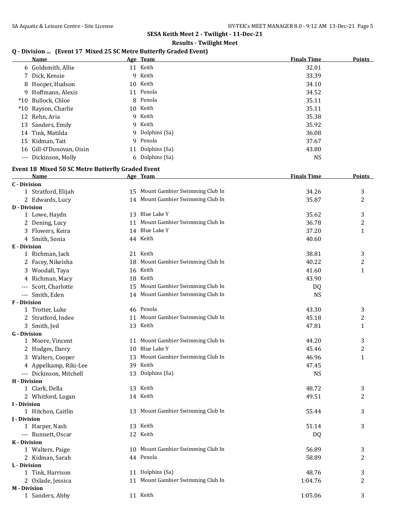# **Results - Twilight Meet**

# **Q - Division ... (Event 17 Mixed 25 SC Metre Butterfly Graded Event)**

|       | Name                     |    | Age Team        | <b>Finals Time</b> | <b>Points</b> |
|-------|--------------------------|----|-----------------|--------------------|---------------|
|       | 6 Goldsmith, Allie       |    | 11 Keith        | 32.01              |               |
|       | 7 Dick, Kensie           | 9  | Keith           | 33.39              |               |
|       | 8 Hooper, Hudson         |    | 10 Keith        | 34.10              |               |
|       | 9 Hoffmann, Alexis       |    | 11 Penola       | 34.52              |               |
|       | *10 Bullock, Chloe       |    | 8 Penola        | 35.11              |               |
|       | *10 Rayson, Charlie      |    | 10 Keith        | 35.11              |               |
|       | 12 Rehn. Aria            | 9  | Keith           | 35.38              |               |
|       | 13 Sanders, Emily        |    | 9 Keith         | 35.92              |               |
|       | 14 Tink, Matilda         |    | 9 Dolphins (Sa) | 36.08              |               |
|       | 15 Kidman, Tait          | 9  | Penola          | 37.67              |               |
|       | 16 Gill-O'Donovan, Oisin | 11 | Dolphins (Sa)   | 43.80              |               |
| $---$ | Dickinson, Molly         |    | 6 Dolphins (Sa) | NS.                |               |
|       |                          |    |                 |                    |               |

#### **Event 18 Mixed 50 SC Metre Butterfly Graded Event**

|                     | <b>Name</b>             | Age Team                          | <b>Finals Time</b> | <u>Points</u>  |
|---------------------|-------------------------|-----------------------------------|--------------------|----------------|
| <b>C</b> - Division |                         |                                   |                    |                |
|                     | 1 Stratford, Elijah     | 15 Mount Gambier Swimming Club In | 34.26              | 3              |
|                     | 2 Edwards, Lucy         | 14 Mount Gambier Swimming Club In | 35.87              | $\overline{2}$ |
| <b>D</b> - Division |                         |                                   |                    |                |
|                     | 1 Lowe, Haydn           | 13 Blue Lake Y                    | 35.62              | 3              |
|                     | 2 Dening, Lucy          | 11 Mount Gambier Swimming Club In | 36.78              | $\overline{c}$ |
|                     | 3 Flowers, Keira        | 14 Blue Lake Y                    | 37.20              | $\mathbf{1}$   |
|                     | 4 Smith, Sonia          | 44 Keith                          | 40.60              |                |
| <b>E</b> - Division |                         |                                   |                    |                |
|                     | 1 Richman, Jack         | 21 Keith                          | 38.81              | 3              |
|                     | 2 Facey, Nikeisha       | 18 Mount Gambier Swimming Club In | 40.22              | $\overline{c}$ |
|                     | 3 Woodall, Taya         | 16 Keith                          | 41.60              | $\mathbf{1}$   |
|                     | 4 Richman, Macy         | 18 Keith                          | 43.90              |                |
|                     | --- Scott, Charlotte    | 15 Mount Gambier Swimming Club In | DQ                 |                |
|                     | --- Smith, Eden         | 14 Mount Gambier Swimming Club In | <b>NS</b>          |                |
| F - Division        |                         |                                   |                    |                |
|                     | 1 Trotter, Luke         | 46 Penola                         | 43.30              | 3              |
|                     | 2 Stratford, Indee      | 11 Mount Gambier Swimming Club In | 45.18              | 2              |
|                     | 3 Smith, Jed            | 13 Keith                          | 47.81              | 1              |
| <b>G</b> - Division |                         |                                   |                    |                |
|                     | 1 Moore, Vincent        | 11 Mount Gambier Swimming Club In | 44.20              | 3              |
|                     | 2 Hodges, Darcy         | 10 Blue Lake Y                    | 45.46              | 2              |
|                     | 3 Walters, Cooper       | 13 Mount Gambier Swimming Club In | 46.96              | $\mathbf{1}$   |
|                     | 4 Appelkamp, Riki-Lee   | 39 Keith                          | 47.45              |                |
|                     | --- Dickinson, Mitchell | 13 Dolphins (Sa)                  | <b>NS</b>          |                |
| H - Division        |                         |                                   |                    |                |
|                     | 1 Clark, Della          | 13 Keith                          | 48.72              | 3              |
|                     | 2 Whitford, Logan       | 14 Keith                          | 49.51              | 2              |
| <b>I</b> - Division |                         |                                   |                    |                |
|                     | 1 Hitchon, Caitlin      | 13 Mount Gambier Swimming Club In | 55.44              | 3              |
| <b>J</b> - Division |                         |                                   |                    |                |
|                     | 1 Harper, Nash          | 13 Keith                          | 51.14              | 3              |
|                     | --- Bunnett, Oscar      | 12 Keith                          | DQ                 |                |
| <b>K</b> - Division |                         |                                   |                    |                |
|                     | 1 Walters, Paige        | 10 Mount Gambier Swimming Club In | 56.89              | 3              |
|                     | 2 Kidman, Sarah         | 44 Penola                         | 58.89              | 2              |
| L - Division        | 1 Tink, Harrison        | 11 Dolphins (Sa)                  | 48.76              | 3              |
|                     |                         | 11 Mount Gambier Swimming Club In |                    | $\overline{2}$ |
| <b>M</b> - Division | 2 Oxlade, Jessica       |                                   | 1:04.76            |                |
|                     | 1 Sanders, Abby         | 11 Keith                          | 1:05.06            | 3              |
|                     |                         |                                   |                    |                |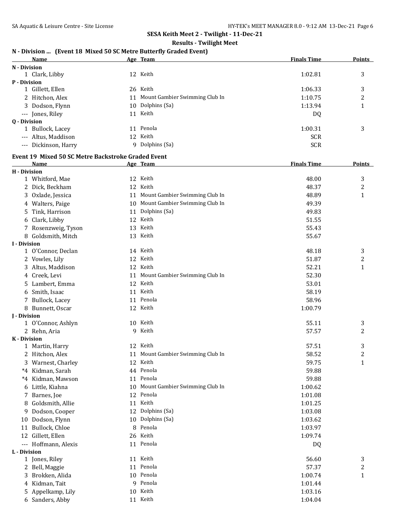#### **Results - Twilight Meet**

## **N - Division ... (Event 18 Mixed 50 SC Metre Butterfly Graded Event)**

|                     | <b>Name</b>          |    | Age Team                       | <b>Finals Time</b> | <b>Points</b> |
|---------------------|----------------------|----|--------------------------------|--------------------|---------------|
| N - Division        |                      |    |                                |                    |               |
|                     | 1 Clark, Libby       |    | 12 Keith                       | 1:02.81            | 3             |
| <b>P</b> - Division |                      |    |                                |                    |               |
|                     | 1 Gillett, Ellen     |    | 26 Keith                       | 1:06.33            | 3             |
|                     | 2 Hitchon, Alex      | 11 | Mount Gambier Swimming Club In | 1:10.75            | າ             |
|                     | 3 Dodson, Flynn      |    | 10 Dolphins (Sa)               | 1:13.94            |               |
|                     | --- Jones, Riley     | 11 | Keith                          | DQ                 |               |
| <b>Q</b> - Division |                      |    |                                |                    |               |
|                     | 1 Bullock, Lacey     | 11 | Penola                         | 1:00.31            | 3             |
|                     | --- Altus, Maddison  | 12 | Keith                          | <b>SCR</b>         |               |
|                     | --- Dickinson, Harry | 9  | Dolphins (Sa)                  | <b>SCR</b>         |               |

# **Event 19 Mixed 50 SC Metre Backstroke Graded Event**<br>Name Age Team

|                     | Name                 |    | Age Team                          | <b>Finals Time</b> | <b>Points</b>  |
|---------------------|----------------------|----|-----------------------------------|--------------------|----------------|
| <b>H</b> - Division |                      |    |                                   |                    |                |
|                     | 1 Whitford, Mae      |    | 12 Keith                          | 48.00              | 3              |
|                     | 2 Dick, Beckham      |    | 12 Keith                          | 48.37              | 2              |
|                     | 3 Oxlade, Jessica    |    | 11 Mount Gambier Swimming Club In | 48.89              | $\mathbf{1}$   |
|                     | 4 Walters, Paige     |    | 10 Mount Gambier Swimming Club In | 49.39              |                |
|                     | 5 Tink, Harrison     |    | 11 Dolphins (Sa)                  | 49.83              |                |
|                     | 6 Clark, Libby       |    | 12 Keith                          | 51.55              |                |
|                     | 7 Rosenzweig, Tyson  |    | 13 Keith                          | 55.43              |                |
|                     | 8 Goldsmith, Mitch   |    | 13 Keith                          | 55.67              |                |
| <b>I</b> - Division |                      |    |                                   |                    |                |
|                     | 1 O'Connor, Declan   |    | 14 Keith                          | 48.18              | 3              |
|                     | 2 Vowles, Lily       |    | 12 Keith                          | 51.87              | 2              |
|                     | 3 Altus, Maddison    |    | 12 Keith                          | 52.21              | $\mathbf{1}$   |
|                     | 4 Creek, Levi        |    | 11 Mount Gambier Swimming Club In | 52.30              |                |
|                     | 5 Lambert, Emma      |    | 12 Keith                          | 53.01              |                |
|                     | 6 Smith, Isaac       |    | 11 Keith                          | 58.19              |                |
|                     | 7 Bullock, Lacey     |    | 11 Penola                         | 58.96              |                |
|                     | 8 Bunnett, Oscar     |    | 12 Keith                          | 1:00.79            |                |
| <b>I</b> - Division |                      |    |                                   |                    |                |
|                     | 1 O'Connor, Ashlyn   |    | 10 Keith                          | 55.11              | 3              |
|                     | 2 Rehn, Aria         | 9  | Keith                             | 57.57              | 2              |
| <b>K</b> - Division |                      |    |                                   |                    |                |
|                     | 1 Martin, Harry      |    | 12 Keith                          | 57.51              | 3              |
|                     | 2 Hitchon, Alex      | 11 | Mount Gambier Swimming Club In    | 58.52              | $\overline{c}$ |
|                     | 3 Warnest, Charley   |    | 12 Keith                          | 59.75              | $\mathbf{1}$   |
|                     | *4 Kidman, Sarah     |    | 44 Penola                         | 59.88              |                |
|                     | *4 Kidman, Mawson    |    | 11 Penola                         | 59.88              |                |
|                     | 6 Little, Kiahna     | 10 | Mount Gambier Swimming Club In    | 1:00.62            |                |
|                     | 7 Barnes, Joe        |    | 12 Penola                         | 1:01.08            |                |
| 8                   | Goldsmith, Allie     |    | 11 Keith                          | 1:01.25            |                |
|                     | 9 Dodson, Cooper     |    | 12 Dolphins (Sa)                  | 1:03.08            |                |
|                     | 10 Dodson, Flynn     |    | 10 Dolphins (Sa)                  | 1:03.62            |                |
|                     | 11 Bullock, Chloe    | 8  | Penola                            | 1:03.97            |                |
|                     | 12 Gillett, Ellen    |    | 26 Keith                          | 1:09.74            |                |
|                     | --- Hoffmann, Alexis |    | 11 Penola                         | DQ                 |                |
| L - Division        |                      |    |                                   |                    |                |
|                     | 1 Jones, Riley       |    | 11 Keith                          | 56.60              | 3              |
|                     | 2 Bell, Maggie       |    | 11 Penola                         | 57.37              | 2              |
|                     | 3 Brokken, Alida     |    | 10 Penola                         | 1:00.74            | $\mathbf{1}$   |
|                     | 4 Kidman, Tait       |    | 9 Penola                          | 1:01.44            |                |
|                     | 5 Appelkamp, Lily    |    | 10 Keith                          | 1:03.16            |                |
|                     | 6 Sanders, Abby      |    | 11 Keith                          | 1:04.04            |                |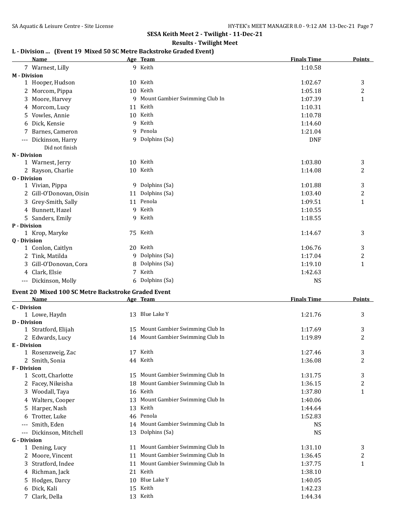#### **Results - Twilight Meet**

# **L - Division ... (Event 19 Mixed 50 SC Metre Backstroke Graded Event)**

|                     | Name                                                |    | Age Team                          | <b>Finals Time</b> | <b>Points</b>  |
|---------------------|-----------------------------------------------------|----|-----------------------------------|--------------------|----------------|
|                     | 7 Warnest, Lilly                                    |    | 9 Keith                           | 1:10.58            |                |
| <b>M</b> - Division |                                                     |    |                                   |                    |                |
|                     | 1 Hooper, Hudson                                    |    | 10 Keith                          | 1:02.67            | 3              |
|                     | 2 Morcom, Pippa                                     |    | 10 Keith                          | 1:05.18            | 2              |
|                     | 3 Moore, Harvey                                     |    | 9 Mount Gambier Swimming Club In  | 1:07.39            | 1              |
|                     | 4 Morcom, Lucy                                      |    | 11 Keith                          | 1:10.31            |                |
|                     | 5 Vowles, Annie                                     |    | 10 Keith                          | 1:10.78            |                |
|                     | 6 Dick, Kensie                                      |    | 9 Keith                           | 1:14.60            |                |
|                     | 7 Barnes, Cameron                                   |    | 9 Penola                          | 1:21.04            |                |
|                     | --- Dickinson, Harry                                |    | 9 Dolphins (Sa)                   | <b>DNF</b>         |                |
|                     | Did not finish                                      |    |                                   |                    |                |
| N - Division        |                                                     |    |                                   |                    |                |
|                     | 1 Warnest, Jerry                                    |    | 10 Keith                          | 1:03.80            | 3              |
|                     | 2 Rayson, Charlie                                   |    | 10 Keith                          | 1:14.08            | 2              |
| <b>0</b> - Division |                                                     |    |                                   |                    |                |
|                     | 1 Vivian, Pippa                                     |    | 9 Dolphins (Sa)                   | 1:01.88            | 3              |
|                     | 2 Gill-O'Donovan, Oisin                             |    | 11 Dolphins (Sa)                  | 1:03.40            | $\overline{c}$ |
|                     | 3 Grey-Smith, Sally                                 |    | 11 Penola                         | 1:09.51            | $\mathbf{1}$   |
|                     | 4 Bunnett, Hazel                                    |    | 9 Keith                           | 1:10.55            |                |
|                     | 5 Sanders, Emily                                    |    | 9 Keith                           | 1:18.55            |                |
| P - Division        |                                                     |    |                                   |                    |                |
|                     | 1 Krop, Maryke                                      |    | 75 Keith                          | 1:14.67            | 3              |
| <b>0</b> - Division |                                                     |    |                                   |                    |                |
|                     | 1 Conlon, Caitlyn                                   |    | 20 Keith                          | 1:06.76            | 3              |
|                     | 2 Tink, Matilda                                     |    | 9 Dolphins (Sa)                   | 1:17.04            | 2              |
|                     | 3 Gill-O'Donovan, Cora                              | 8  | Dolphins (Sa)                     | 1:19.10            | 1              |
|                     | 4 Clark, Elsie                                      |    | 7 Keith                           | 1:42.63            |                |
|                     | --- Dickinson, Molly                                |    | 6 Dolphins (Sa)                   | <b>NS</b>          |                |
|                     |                                                     |    |                                   |                    |                |
|                     | Event 20 Mixed 100 SC Metre Backstroke Graded Event |    |                                   |                    |                |
|                     | Name                                                |    | Age Team                          | <b>Finals Time</b> | <b>Points</b>  |
| <b>C</b> - Division |                                                     |    | 13 Blue Lake Y                    | 1:21.76            | 3              |
| <b>D</b> - Division | 1 Lowe, Haydn                                       |    |                                   |                    |                |
|                     | 1 Stratford, Elijah                                 |    | 15 Mount Gambier Swimming Club In | 1:17.69            | 3              |
|                     | 2 Edwards, Lucy                                     |    | 14 Mount Gambier Swimming Club In | 1:19.89            | 2              |
| E - Division        |                                                     |    |                                   |                    |                |
|                     | 1 Rosenzweig, Zac                                   |    | 17 Keith                          | 1:27.46            | 3              |
|                     | 2 Smith, Sonia                                      |    | 44 Keith                          | 1:36.08            | 2              |
| <b>F</b> - Division |                                                     |    |                                   |                    |                |
|                     | 1 Scott, Charlotte                                  |    | 15 Mount Gambier Swimming Club In | 1:31.75            | 3              |
|                     | 2 Facey, Nikeisha                                   | 18 | Mount Gambier Swimming Club In    | 1:36.15            | 2              |
|                     | 3 Woodall, Taya                                     | 16 | Keith                             | 1:37.80            | 1              |
|                     | 4 Walters, Cooper                                   |    | 13 Mount Gambier Swimming Club In | 1:40.06            |                |
|                     | 5 Harper, Nash                                      |    | 13 Keith                          | 1:44.64            |                |
| 6                   | Trotter, Luke                                       |    | 46 Penola                         | 1:52.83            |                |
|                     | Smith, Eden                                         |    | 14 Mount Gambier Swimming Club In |                    |                |
| $---$               |                                                     |    | 13 Dolphins (Sa)                  | NS                 |                |
| <b>G</b> - Division | Dickinson, Mitchell                                 |    |                                   | NS                 |                |
|                     | 1 Dening, Lucy                                      |    | 11 Mount Gambier Swimming Club In | 1:31.10            | 3              |
|                     | 2 Moore, Vincent                                    | 11 | Mount Gambier Swimming Club In    | 1:36.45            | 2              |
|                     |                                                     | 11 | Mount Gambier Swimming Club In    |                    |                |
|                     | 3 Stratford, Indee                                  |    |                                   | 1:37.75            | 1              |
|                     | 4 Richman, Jack                                     |    | 21 Keith                          | 1:38.10            |                |
|                     | 5 Hodges, Darcy                                     | 10 | Blue Lake Y                       | 1:40.05            |                |
|                     | 6 Dick, Kali                                        |    | 15 Keith                          | 1:42.23            |                |
|                     | 7 Clark, Della                                      |    | 13 Keith                          | 1:44.34            |                |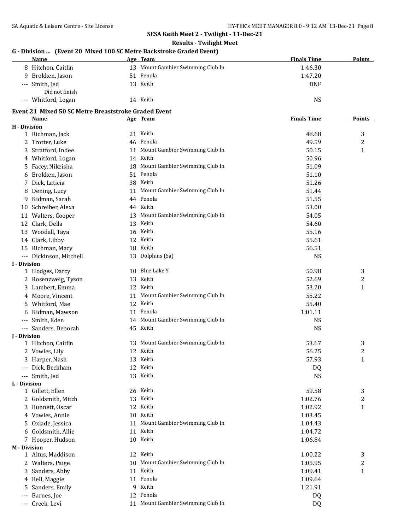### **SESA Keith Meet 2 - Twilight - 11-Dec-21 Results - Twilight Meet**

| G - Division  (Event 20 Mixed 100 SC Metre Backstroke Graded Event)<br><b>Name</b> |    | Age Team                          | <b>Finals Time</b> | <b>Points</b>  |
|------------------------------------------------------------------------------------|----|-----------------------------------|--------------------|----------------|
| 8 Hitchon, Caitlin                                                                 |    | 13 Mount Gambier Swimming Club In | 1:46.30            |                |
| 9 Brokken, Jason                                                                   |    | 51 Penola                         | 1:47.20            |                |
| --- Smith, Jed                                                                     |    | 13 Keith                          | <b>DNF</b>         |                |
| Did not finish                                                                     |    |                                   |                    |                |
| --- Whitford, Logan                                                                |    | 14 Keith                          | <b>NS</b>          |                |
|                                                                                    |    |                                   |                    |                |
| Event 21 Mixed 50 SC Metre Breaststroke Graded Event                               |    |                                   |                    |                |
| Name                                                                               |    | Age Team                          | <b>Finals Time</b> | <b>Points</b>  |
| H - Division                                                                       |    |                                   |                    |                |
| 1 Richman, Jack                                                                    |    | 21 Keith                          | 48.68              | 3              |
| 2 Trotter, Luke                                                                    |    | 46 Penola                         | 49.59              | $\overline{c}$ |
| Stratford, Indee<br>3                                                              | 11 | Mount Gambier Swimming Club In    | 50.15              | $\mathbf{1}$   |
| 4 Whitford, Logan                                                                  |    | 14 Keith                          | 50.96              |                |
| Facey, Nikeisha<br>5                                                               | 18 | Mount Gambier Swimming Club In    | 51.09              |                |
| Brokken, Jason                                                                     | 51 | Penola                            | 51.10              |                |
| 7 Dick, Laticia                                                                    | 38 | Keith                             | 51.26              |                |
| 8 Dening, Lucy                                                                     | 11 | Mount Gambier Swimming Club In    | 51.44              |                |
| 9 Kidman, Sarah                                                                    |    | 44 Penola                         | 51.55              |                |
| 10 Schreiber, Alexa                                                                |    | 44 Keith                          | 53.00              |                |
| 11 Walters, Cooper                                                                 |    | 13 Mount Gambier Swimming Club In | 54.05              |                |
| 12 Clark, Della                                                                    |    | 13 Keith                          | 54.60              |                |
| 13 Woodall, Taya                                                                   |    | 16 Keith                          | 55.16              |                |
| 14 Clark, Libby                                                                    |    | 12 Keith                          | 55.61              |                |
| 15 Richman, Macy                                                                   |    | 18 Keith                          | 56.51              |                |
| --- Dickinson, Mitchell                                                            |    | 13 Dolphins (Sa)                  | <b>NS</b>          |                |
| <b>I</b> - Division                                                                |    |                                   |                    |                |
| 1 Hodges, Darcy                                                                    |    | 10 Blue Lake Y                    | 50.98              | 3              |
| 2 Rosenzweig, Tyson                                                                | 13 | Keith                             | 52.69              | 2              |
| 3 Lambert, Emma                                                                    |    | 12 Keith                          | 53.20              | $\mathbf{1}$   |
| 4 Moore, Vincent                                                                   |    | 11 Mount Gambier Swimming Club In | 55.22              |                |
| 5 Whitford, Mae                                                                    |    | 12 Keith                          | 55.40              |                |
| 6 Kidman, Mawson                                                                   |    | 11 Penola                         | 1:01.11            |                |
| --- Smith, Eden                                                                    |    | 14 Mount Gambier Swimming Club In | <b>NS</b>          |                |
| --- Sanders, Deborah                                                               |    | 45 Keith                          | <b>NS</b>          |                |
| <b>I</b> - Division                                                                |    |                                   |                    |                |
| 1 Hitchon, Caitlin                                                                 |    | 13 Mount Gambier Swimming Club In | 53.67              | 3              |
| 2<br>Vowles, Lily                                                                  |    | 12 Keith                          | 56.25              | 2              |
| Harper, Nash<br>3                                                                  |    | 13 Keith                          | 57.93              | $\mathbf{1}$   |
| Dick, Beckham<br>$---$                                                             |    | 12 Keith                          | DQ                 |                |
| Smith, Jed<br>$\qquad \qquad - -$                                                  |    | 13 Keith                          | <b>NS</b>          |                |
| L - Division                                                                       |    |                                   |                    |                |
| 1 Gillett, Ellen                                                                   |    | 26 Keith                          | 59.58              | 3              |
| 2 Goldsmith, Mitch                                                                 | 13 | Keith                             | 1:02.76            | 2              |
| Bunnett, Oscar<br>3                                                                | 12 | Keith                             | 1:02.92            | $\mathbf{1}$   |
| 4 Vowles, Annie                                                                    | 10 | Keith                             | 1:03.45            |                |
| Oxlade, Jessica<br>5                                                               | 11 | Mount Gambier Swimming Club In    | 1:04.43            |                |
| Goldsmith, Allie<br>6                                                              | 11 | Keith                             | 1:04.72            |                |
| 7 Hooper, Hudson                                                                   |    | 10 Keith                          | 1:06.84            |                |
| <b>M</b> - Division                                                                |    |                                   |                    |                |
| 1 Altus, Maddison                                                                  |    | 12 Keith                          | 1:00.22            | 3              |
| 2 Walters, Paige                                                                   | 10 | Mount Gambier Swimming Club In    | 1:05.95            | $\overline{c}$ |
| Sanders, Abby<br>3                                                                 | 11 | Keith                             | 1:09.41            | $\mathbf{1}$   |
| Bell, Maggie<br>4                                                                  | 11 | Penola                            | 1:09.64            |                |
| Sanders, Emily<br>5                                                                | 9  | Keith                             | 1:21.91            |                |
| Barnes, Joe<br>$---$                                                               | 12 | Penola                            | DQ                 |                |
| Creek, Levi<br>$---$                                                               |    | 11 Mount Gambier Swimming Club In | DQ                 |                |
|                                                                                    |    |                                   |                    |                |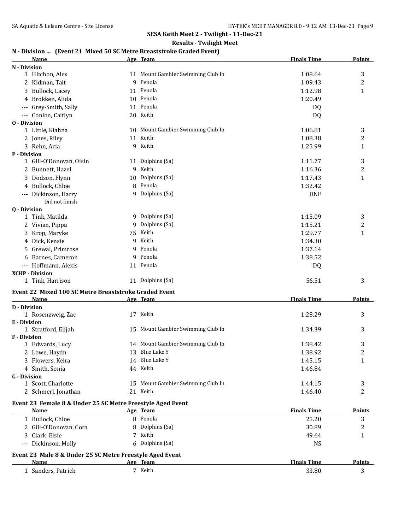## **Results - Twilight Meet**

## **N - Division ... (Event 21 Mixed 50 SC Metre Breaststroke Graded Event)**

|                     | Name                                                       |    | Age Team                          | <b>Finals Time</b> | <b>Points</b>    |
|---------------------|------------------------------------------------------------|----|-----------------------------------|--------------------|------------------|
| N - Division        |                                                            |    |                                   |                    |                  |
|                     | 1 Hitchon, Alex                                            |    | 11 Mount Gambier Swimming Club In | 1:08.64            | 3                |
|                     | 2 Kidman, Tait                                             |    | 9 Penola                          | 1:09.43            | 2                |
|                     | 3 Bullock, Lacey                                           |    | 11 Penola                         | 1:12.98            | $\mathbf{1}$     |
|                     | 4 Brokken, Alida                                           |    | 10 Penola                         | 1:20.49            |                  |
|                     | --- Grey-Smith, Sally                                      |    | 11 Penola                         | DQ                 |                  |
|                     | --- Conlon, Caitlyn                                        |    | 20 Keith                          | DQ                 |                  |
| <b>0</b> - Division |                                                            |    |                                   |                    |                  |
|                     | 1 Little, Kiahna                                           |    | 10 Mount Gambier Swimming Club In | 1:06.81            | 3                |
|                     | 2 Jones, Riley                                             |    | 11 Keith                          | 1:08.38            | 2                |
|                     | 3 Rehn, Aria                                               |    | 9 Keith                           | 1:25.99            | 1                |
| P - Division        |                                                            |    |                                   |                    |                  |
|                     | 1 Gill-O'Donovan, Oisin                                    |    | 11 Dolphins (Sa)                  | 1:11.77            | 3                |
|                     | 2 Bunnett, Hazel                                           |    | 9 Keith                           | 1:16.36            | $\overline{c}$   |
|                     | 3 Dodson, Flynn                                            | 10 | Dolphins (Sa)                     | 1:17.43            | 1                |
|                     | 4 Bullock, Chloe                                           |    | 8 Penola                          | 1:32.42            |                  |
|                     | --- Dickinson, Harry                                       |    | 9 Dolphins (Sa)                   | <b>DNF</b>         |                  |
|                     | Did not finish                                             |    |                                   |                    |                  |
| <b>0</b> - Division |                                                            |    |                                   |                    |                  |
|                     | 1 Tink, Matilda                                            |    | 9 Dolphins (Sa)                   | 1:15.09            | 3                |
|                     | 2 Vivian, Pippa                                            | 9  | Dolphins (Sa)                     | 1:15.21            | $\boldsymbol{2}$ |
|                     | 3 Krop, Maryke                                             | 75 | Keith                             | 1:29.77            | $\mathbf{1}$     |
|                     | 4 Dick, Kensie                                             | 9  | Keith                             | 1:34.30            |                  |
|                     | 5 Grewal, Primrose                                         |    | 9 Penola                          | 1:37.14            |                  |
|                     | 6 Barnes, Cameron                                          |    | 9 Penola                          | 1:38.52            |                  |
|                     | --- Hoffmann, Alexis                                       |    | 11 Penola                         | DQ                 |                  |
|                     | <b>XCHP - Division</b>                                     |    |                                   |                    |                  |
|                     | 1 Tink, Harrison                                           |    | 11 Dolphins (Sa)                  | 56.51              | 3                |
|                     | Event 22 Mixed 100 SC Metre Breaststroke Graded Event      |    |                                   |                    |                  |
|                     | Name                                                       |    | Age Team                          | <b>Finals Time</b> | Points           |
| <b>D</b> - Division |                                                            |    |                                   |                    |                  |
|                     | 1 Rosenzweig, Zac                                          |    | 17 Keith                          | 1:28.29            | 3                |
| E - Division        |                                                            |    |                                   |                    |                  |
|                     | 1 Stratford, Elijah                                        |    | 15 Mount Gambier Swimming Club In | 1:34.39            | 3                |
| <b>F</b> - Division |                                                            |    |                                   |                    |                  |
|                     | 1 Edwards, Lucy                                            |    | 14 Mount Gambier Swimming Club In | 1:38.42            | 3                |
|                     | 2 Lowe, Haydn                                              |    | 13 Blue Lake Y                    | 1:38.92            | $\overline{2}$   |
|                     | 3 Flowers, Keira                                           |    | 14 Blue Lake Y                    | 1:45.15            | 1                |
|                     | 4 Smith, Sonia                                             |    | 44 Keith                          | 1:46.84            |                  |
| <b>G</b> - Division |                                                            |    |                                   |                    |                  |
|                     | 1 Scott, Charlotte                                         |    | 15 Mount Gambier Swimming Club In | 1:44.15            | 3                |
|                     | 2 Schmerl, Jonathan                                        |    | 21 Keith                          | 1:46.40            | 2                |
|                     | Event 23 Female 8 & Under 25 SC Metre Freestyle Aged Event |    |                                   |                    |                  |
|                     | Name                                                       |    | Age Team                          | <b>Finals Time</b> | <b>Points</b>    |
|                     | 1 Bullock, Chloe                                           |    | 8 Penola                          | 25.20              | 3                |
|                     | 2 Gill-O'Donovan, Cora                                     |    | 8 Dolphins (Sa)                   | 30.89              | 2                |
|                     | 3 Clark, Elsie                                             |    | 7 Keith                           | 49.64              | 1                |
|                     | --- Dickinson, Molly                                       |    | 6 Dolphins (Sa)                   | <b>NS</b>          |                  |
|                     |                                                            |    |                                   |                    |                  |
|                     | Event 23 Male 8 & Under 25 SC Metre Freestyle Aged Event   |    |                                   |                    |                  |
|                     | Name                                                       |    | Age Team                          | <b>Finals Time</b> | <u>Points</u>    |
|                     | 1 Sanders, Patrick                                         |    | 7 Keith                           | 33.80              | 3                |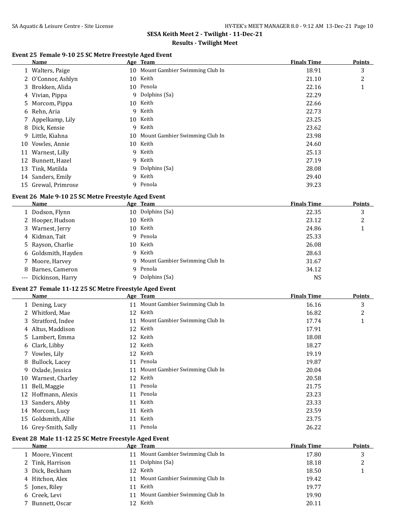### **Results - Twilight Meet**

## **Event 25 Female 9-10 25 SC Metre Freestyle Aged Event**

| Name             |                                                                                                                                                                                                                                           |        |                                                                                                                                                  | <b>Points</b>                  |
|------------------|-------------------------------------------------------------------------------------------------------------------------------------------------------------------------------------------------------------------------------------------|--------|--------------------------------------------------------------------------------------------------------------------------------------------------|--------------------------------|
|                  |                                                                                                                                                                                                                                           |        | 18.91                                                                                                                                            | 3                              |
|                  | 10                                                                                                                                                                                                                                        | Keith  | 21.10                                                                                                                                            | 2                              |
|                  |                                                                                                                                                                                                                                           |        | 22.16                                                                                                                                            | 1                              |
|                  | 9                                                                                                                                                                                                                                         |        | 22.29                                                                                                                                            |                                |
|                  | 10                                                                                                                                                                                                                                        | Keith  | 22.66                                                                                                                                            |                                |
|                  | 9                                                                                                                                                                                                                                         | Keith  | 22.73                                                                                                                                            |                                |
|                  | 10                                                                                                                                                                                                                                        | Keith  | 23.25                                                                                                                                            |                                |
|                  | 9                                                                                                                                                                                                                                         |        | 23.62                                                                                                                                            |                                |
|                  |                                                                                                                                                                                                                                           |        | 23.98                                                                                                                                            |                                |
| Vowles, Annie    | 10                                                                                                                                                                                                                                        | Keith  | 24.60                                                                                                                                            |                                |
|                  | 9                                                                                                                                                                                                                                         |        | 25.13                                                                                                                                            |                                |
| Bunnett, Hazel   | 9                                                                                                                                                                                                                                         |        | 27.19                                                                                                                                            |                                |
|                  | 9                                                                                                                                                                                                                                         |        | 28.08                                                                                                                                            |                                |
|                  | 9                                                                                                                                                                                                                                         | Keith  | 29.40                                                                                                                                            |                                |
| Grewal, Primrose | 9.                                                                                                                                                                                                                                        | Penola | 39.23                                                                                                                                            |                                |
|                  | 1 Walters, Paige<br>2 O'Connor, Ashlyn<br>3 Brokken, Alida<br>4 Vivian, Pippa<br>5 Morcom, Pippa<br>6 Rehn, Aria<br>7 Appelkamp, Lily<br>8 Dick, Kensie<br>9 Little, Kiahna<br>Warnest, Lilly<br>11<br>Tink, Matilda<br>14 Sanders, Emily |        | 10 Mount Gambier Swimming Club In<br>10 Penola<br>Dolphins (Sa)<br>Keith<br>10 Mount Gambier Swimming Club In<br>Keith<br>Keith<br>Dolphins (Sa) | <b>Finals Time</b><br>Age Team |

## **Event 26 Male 9-10 25 SC Metre Freestyle Aged Event**

| Name                 |     | Age Team                         | <b>Finals Time</b> | Points |
|----------------------|-----|----------------------------------|--------------------|--------|
| 1 Dodson, Flynn      |     | 10 Dolphins (Sa)                 | 22.35              | 3      |
| 2 Hooper, Hudson     |     | 10 Keith                         | 23.12              | າ      |
| 3 Warnest, Jerry     | 10- | Keith                            | 24.86              |        |
| 4 Kidman, Tait       |     | 9 Penola                         | 25.33              |        |
| 5 Rayson, Charlie    | 10- | Keith                            | 26.08              |        |
| 6 Goldsmith, Hayden  | 9   | Keith                            | 28.63              |        |
| 7 Moore, Harvey      |     | 9 Mount Gambier Swimming Club In | 31.67              |        |
| 8 Barnes, Cameron    | q   | Penola                           | 34.12              |        |
| --- Dickinson, Harry |     | Dolphins (Sa)                    | NS                 |        |

# **Event 27 Female 11-12 25 SC Metre Freestyle Aged Event**

|              | Name                 |    | Age Team                       | <b>Finals Time</b> | <b>Points</b>  |
|--------------|----------------------|----|--------------------------------|--------------------|----------------|
|              | 1 Dening, Lucy       | 11 | Mount Gambier Swimming Club In | 16.16              | 3              |
| $\mathbf{Z}$ | Whitford, Mae        | 12 | Keith                          | 16.82              | $\overline{2}$ |
|              | 3 Stratford, Indee   | 11 | Mount Gambier Swimming Club In | 17.74              | щ              |
|              | 4 Altus, Maddison    | 12 | Keith                          | 17.91              |                |
|              | 5 Lambert, Emma      | 12 | Keith                          | 18.08              |                |
|              | 6 Clark, Libby       | 12 | Keith                          | 18.27              |                |
|              | 7 Vowles, Lily       | 12 | Keith                          | 19.19              |                |
|              | 8 Bullock, Lacey     | 11 | Penola                         | 19.87              |                |
| 9.           | Oxlade, Jessica      | 11 | Mount Gambier Swimming Club In | 20.04              |                |
| 10           | Warnest, Charley     | 12 | Keith                          | 20.58              |                |
| 11           | Bell, Maggie         | 11 | Penola                         | 21.75              |                |
| 12           | Hoffmann, Alexis     | 11 | Penola                         | 23.23              |                |
| 13           | Sanders, Abby        | 11 | Keith                          | 23.33              |                |
| 14           | Morcom, Lucy         | 11 | Keith                          | 23.59              |                |
| 15           | Goldsmith, Allie     | 11 | Keith                          | 23.75              |                |
|              | 16 Grey-Smith, Sally | 11 | Penola                         | 26.22              |                |

#### **Event 28 Male 11-12 25 SC Metre Freestyle Aged Event**

| <b>Name</b>      |    |                                | <b>Finals Time</b>                                                                                                                   | <b>Points</b> |
|------------------|----|--------------------------------|--------------------------------------------------------------------------------------------------------------------------------------|---------------|
| 1 Moore, Vincent |    |                                | 17.80                                                                                                                                |               |
| 2 Tink, Harrison | 11 |                                | 18.18                                                                                                                                |               |
| 3 Dick, Beckham  |    |                                | 18.50                                                                                                                                |               |
| 4 Hitchon, Alex  |    |                                | 19.42                                                                                                                                |               |
| 5 Jones, Riley   | 11 |                                | 19.77                                                                                                                                |               |
| 6 Creek, Levi    |    | Mount Gambier Swimming Club In | 19.90                                                                                                                                |               |
| 7 Bunnett, Oscar |    |                                | 20.11                                                                                                                                |               |
|                  |    | 11<br>11                       | Age Team<br>11 Mount Gambier Swimming Club In<br>Dolphins (Sa)<br>12 Keith<br>Mount Gambier Swimming Club In<br>Keith<br>Keith<br>12 |               |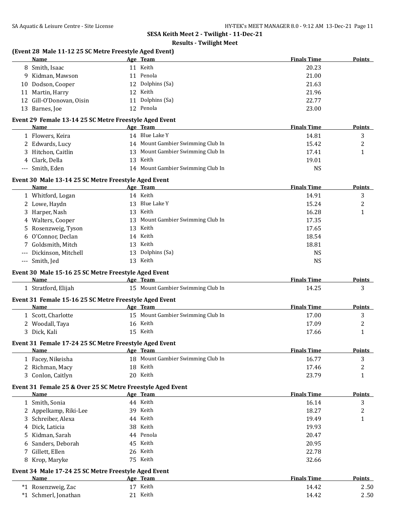#### **Results - Twilight Meet**

#### **(Event 28 Male 11-12 25 SC Metre Freestyle Aged Event)**

| Name                     |    | Age Team         | <b>Finals Time</b> | <b>Points</b> |
|--------------------------|----|------------------|--------------------|---------------|
| 8 Smith, Isaac           | 11 | Keith            | 20.23              |               |
| 9 Kidman, Mawson         |    | 11 Penola        | 21.00              |               |
| 10 Dodson, Cooper        |    | 12 Dolphins (Sa) | 21.63              |               |
| 11 Martin, Harry         | 12 | Keith            | 21.96              |               |
| 12 Gill-O'Donovan, Oisin | 11 | Dolphins (Sa)    | 22.77              |               |
| 13 Barnes, Joe           |    | 12 Penola        | 23.00              |               |

#### **Event 29 Female 13-14 25 SC Metre Freestyle Aged Event**

| Name             |    | Age Team                          | <b>Finals Time</b> | <b>Points</b> |
|------------------|----|-----------------------------------|--------------------|---------------|
| Flowers, Keira   | 14 | Blue Lake Y                       | 14.81              |               |
| 2 Edwards, Lucy  |    | 14 Mount Gambier Swimming Club In | 15.42              | ∸             |
| Hitchon, Caitlin |    | 13 Mount Gambier Swimming Club In | 17.41              |               |
| 4 Clark, Della   |    | 13 Keith                          | 19.01              |               |
| --- Smith, Eden  |    | 14 Mount Gambier Swimming Club In | NS                 |               |

#### **Event 30 Male 13-14 25 SC Metre Freestyle Aged Event**

| Name                    |     | Age Team                          | <b>Finals Time</b> | Points |
|-------------------------|-----|-----------------------------------|--------------------|--------|
| 1 Whitford, Logan       |     | 14 Keith                          | 14.91              | 3      |
| 2 Lowe, Haydn           |     | 13 Blue Lake Y                    | 15.24              |        |
| 3 Harper, Nash          | 13  | Keith                             | 16.28              |        |
| 4 Walters, Cooper       |     | 13 Mount Gambier Swimming Club In | 17.35              |        |
| 5 Rosenzweig, Tyson     |     | 13 Keith                          | 17.65              |        |
| 6 O'Connor, Declan      |     | 14 Keith                          | 18.54              |        |
| 7 Goldsmith, Mitch      | 13  | Keith                             | 18.81              |        |
| --- Dickinson, Mitchell | 13  | Dolphins (Sa)                     | NS.                |        |
| --- Smith, Jed          | 13. | Keith                             | <b>NS</b>          |        |

#### **Event 30 Male 15-16 25 SC Metre Freestyle Aged Event**

| Name                                                   | Team<br>Age                       | <b>Finals Time</b> | Points |
|--------------------------------------------------------|-----------------------------------|--------------------|--------|
| 1 Stratford, Elijah                                    | 15 Mount Gambier Swimming Club In | 14.25              |        |
| Event 31 Female 15-16 25 SC Metre Freestyle Aged Event |                                   |                    |        |

### **Name Age** Team *Age* **Peam Finals Time Points** 1 Scott, Charlotte 15 Mount Gambier Swimming Club In 17.00 3 2 Woodall, Taya 16 Keith 17.09 2 3 Dick, Kali 15 Keith 17.66 1

#### **Event 31 Female 17-24 25 SC Metre Freestyle Aged Event**

| <b>Name</b>       | Team<br>Age                       | <b>Finals Time</b> | <b>Points</b> |
|-------------------|-----------------------------------|--------------------|---------------|
| 1 Facey, Nikeisha | 18 Mount Gambier Swimming Club In | 16.77              | ັ             |
| 2 Richman, Macy   | Keith<br>18                       | 17.46              |               |
| Conlon, Caitlyn   | Keith<br>20                       | 23.79              |               |

#### **Event 31 Female 25 & Over 25 SC Metre Freestyle Aged Event**

| Name                  | Age Team  | <b>Finals Time</b> | <b>Points</b> |
|-----------------------|-----------|--------------------|---------------|
| 1 Smith, Sonia        | 44 Keith  | 16.14              | 3             |
| 2 Appelkamp, Riki-Lee | 39 Keith  | 18.27              | າ<br>▵        |
| 3 Schreiber, Alexa    | 44 Keith  | 19.49              |               |
| 4 Dick, Laticia       | 38 Keith  | 19.93              |               |
| 5 Kidman, Sarah       | 44 Penola | 20.47              |               |
| 6 Sanders, Deborah    | 45 Keith  | 20.95              |               |
| 7 Gillett, Ellen      | 26 Keith  | 22.78              |               |
| 8 Krop, Maryke        | 75 Keith  | 32.66              |               |
|                       |           |                    |               |

#### **Event 34 Male 17-24 25 SC Metre Freestyle Aged Event**

| Name                                  | Age Team | <b>Finals Time</b> | <b>Points</b> |
|---------------------------------------|----------|--------------------|---------------|
| <sup>'1</sup> Rosenzweig, Zac<br>$*1$ | Keith    | 14.42              | 2.50          |
| *1 Schmerl, Jonathan                  | Keith    | 14.42              | 2.50          |